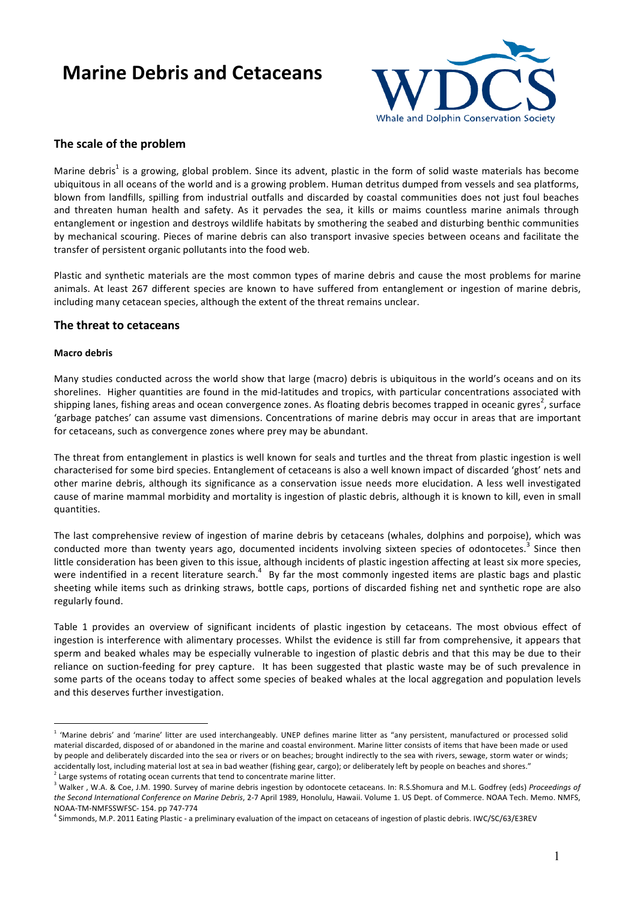# **Marine Debris and Cetaceans**



## The scale of the problem

Marine debris<sup>1</sup> is a growing, global problem. Since its advent, plastic in the form of solid waste materials has become ubiquitous in all oceans of the world and is a growing problem. Human detritus dumped from vessels and sea platforms, blown from landfills, spilling from industrial outfalls and discarded by coastal communities does not just foul beaches and threaten human health and safety. As it pervades the sea, it kills or maims countless marine animals through entanglement or ingestion and destroys wildlife habitats by smothering the seabed and disturbing benthic communities by mechanical scouring. Pieces of marine debris can also transport invasive species between oceans and facilitate the transfer of persistent organic pollutants into the food web.

Plastic and synthetic materials are the most common types of marine debris and cause the most problems for marine animals. At least 267 different species are known to have suffered from entanglement or ingestion of marine debris, including many cetacean species, although the extent of the threat remains unclear.

### **The threat to cetaceans**

#### **Macro!debris**

 $\overline{a}$ 

Many studies conducted across the world show that large (macro) debris is ubiquitous in the world's oceans and on its shorelines. Higher quantities are found in the mid-latitudes and tropics, with particular concentrations associated with shipping lanes, fishing areas and ocean convergence zones. As floating debris becomes trapped in oceanic gyres<sup>2</sup>, surface 'garbage patches' can assume vast dimensions. Concentrations of marine debris may occur in areas that are important for cetaceans, such as convergence zones where prey may be abundant.

The threat from entanglement in plastics is well known for seals and turtles and the threat from plastic ingestion is well characterised for some bird species. Entanglement of cetaceans is also a well known impact of discarded 'ghost' nets and other marine debris, although its significance as a conservation issue needs more elucidation. A less well investigated cause of marine mammal morbidity and mortality is ingestion of plastic debris, although it is known to kill, even in small quantities.

The last comprehensive review of ingestion of marine debris by cetaceans (whales, dolphins and porpoise), which was conducted more than twenty years ago, documented incidents involving sixteen species of odontocetes.<sup>3</sup> Since then little consideration has been given to this issue, although incidents of plastic ingestion affecting at least six more species, were indentified in a recent literature search.<sup>4</sup> By far the most commonly ingested items are plastic bags and plastic sheeting while items such as drinking straws, bottle caps, portions of discarded fishing net and synthetic rope are also regularly found.

Table 1 provides an overview of significant incidents of plastic ingestion by cetaceans. The most obvious effect of ingestion is interference with alimentary processes. Whilst the evidence is still far from comprehensive, it appears that sperm and beaked whales may be especially vulnerable to ingestion of plastic debris and that this may be due to their reliance on suction-feeding for prey capture. It has been suggested that plastic waste may be of such prevalence in some parts of the oceans today to affect some species of beaked whales at the local aggregation and population levels and this deserves further investigation.

 $1$  'Marine debris' and 'marine' litter are used interchangeably. UNEP defines marine litter as "any persistent, manufactured or processed solid material discarded, disposed of or abandoned in the marine and coastal environment. Marine litter consists of items that have been made or used by people and deliberately discarded into the sea or rivers or on beaches; brought indirectly to the sea with rivers, sewage, storm water or winds; accidentally lost, including material lost at sea in bad weather (fishing gear, cargo); or deliberately left by people on beaches and shores."

 $^2$  Large systems of rotating ocean currents that tend to concentrate marine litter.

<sup>&</sup>lt;sup>'</sup> Walker . W.A. & Coe. J.M. 1990. Survey of marine debris ingestion by odontocete cetaceans. In: R.S.Shomura and M.L. Godfrey (eds) *Proceedings of* the Second International Conference on Marine Debris, 2-7 April 1989, Honolulu, Hawaii. Volume 1. US Dept. of Commerce. NOAA Tech. Memo. NMFS, NOAA-TM-NMFSSWFSC- 154. pp 747-774

<sup>&</sup>lt;sup>1</sup> Simmonds, M.P. 2011 Eating Plastic - a preliminary evaluation of the impact on cetaceans of ingestion of plastic debris. IWC/SC/63/E3REV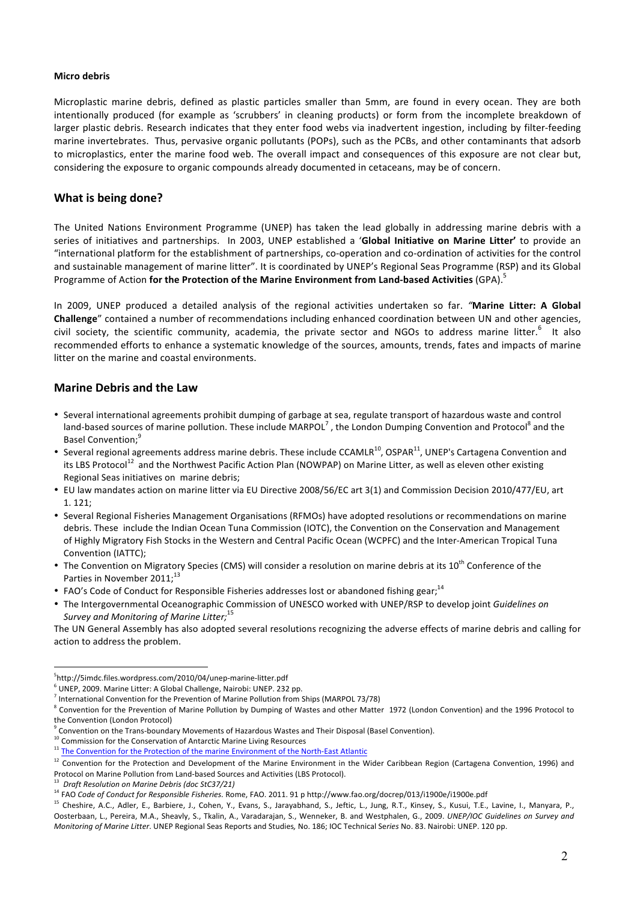#### **Micro!debris**

Microplastic marine debris, defined as plastic particles smaller than 5mm, are found in every ocean. They are both intentionally produced (for example as 'scrubbers' in cleaning products) or form from the incomplete breakdown of larger plastic debris. Research indicates that they enter food webs via inadvertent ingestion, including by filter-feeding marine invertebrates. Thus, pervasive organic pollutants (POPs), such as the PCBs, and other contaminants that adsorb to microplastics, enter the marine food web. The overall impact and consequences of this exposure are not clear but, considering the exposure to organic compounds already documented in cetaceans, may be of concern.

## **What is being done?**

The United Nations Environment Programme (UNEP) has taken the lead globally in addressing marine debris with a series of initiatives and partnerships. In 2003, UNEP established a 'Global Initiative on Marine Litter' to provide an "international platform for the establishment of partnerships, co-operation and co-ordination of activities for the control and sustainable management of marine litter". It is coordinated by UNEP's Regional Seas Programme (RSP) and its Global Programme of Action for the Protection of the Marine Environment from Land-based Activities (GPA).<sup>5</sup>

In 2009, UNEP produced a detailed analysis of the regional activities undertaken so far. *"*Marine Litter: A Global **Challenge**" contained a number of recommendations including enhanced coordination between UN and other agencies, civil society, the scientific community, academia, the private sector and NGOs to address marine litter.<sup>6</sup> It also recommended efforts to enhance a systematic knowledge of the sources, amounts, trends, fates and impacts of marine litter on the marine and coastal environments.

## **Marine Debris and the Law**

- Several international agreements prohibit dumping of garbage at sea, regulate transport of hazardous waste and control land-based sources of marine pollution. These include MARPOL<sup>7</sup>, the London Dumping Convention and Protocol<sup>8</sup> and the Basel Convention;<sup>9</sup>
- Several regional agreements address marine debris. These include CCAMLR<sup>10</sup>, OSPAR<sup>11</sup>, UNEP's Cartagena Convention and its LBS Protocol<sup>12</sup> and the Northwest Pacific Action Plan (NOWPAP) on Marine Litter, as well as eleven other existing Regional Seas initiatives on marine debris;
- EU law mandates action on marine litter via EU Directive 2008/56/EC art 3(1) and Commission Decision 2010/477/EU, art  $1.121$ :
- Several Regional Fisheries Management Organisations (RFMOs) have adopted resolutions or recommendations on marine debris. These include the Indian Ocean Tuna Commission (IOTC), the Convention on the Conservation and Management of Highly Migratory Fish Stocks in the Western and Central Pacific Ocean (WCPFC) and the Inter-American Tropical Tuna Convention (IATTC);
- The Convention on Migratory Species (CMS) will consider a resolution on marine debris at its 10<sup>th</sup> Conference of the Parties in November 2011;<sup>13</sup>
- FAO's Code of Conduct for Responsible Fisheries addresses lost or abandoned fishing gear;<sup>14</sup>
- The Intergovernmental Oceanographic Commission of UNESCO worked with UNEP/RSP to develop joint *Guidelines on* Survey and Monitoring of Marine Litter;<sup>15</sup>

The UN General Assembly has also adopted several resolutions recognizing the adverse effects of marine debris and calling for action to address the problem.

<sup>-&</sup>lt;br>5  $5$ http://5imdc.files.wordpress.com/2010/04/unep-marine-litter.pdf

 $6$  UNEP. 2009. Marine Litter: A Global Challenge, Nairobi: UNEP. 232 pp.

 $<sup>7</sup>$  International Convention for the Prevention of Marine Pollution from Ships (MARPOL 73/78)</sup>

 $8$  Convention for the Prevention of Marine Pollution by Dumping of Wastes and other Matter 1972 (London Convention) and the 1996 Protocol to the Convention (London Protocol)

 $9$  Convention on the Trans-boundary Movements of Hazardous Wastes and Their Disposal (Basel Convention).

 $10$  Commission for the Conservation of Antarctic Marine Living Resources

<sup>&</sup>lt;sup>11</sup> The Convention for the Protection of the marine Environment of the North-East Atlantic

 $12$  Convention for the Protection and Development of the Marine Environment in the Wider Caribbean Region (Cartagena Convention, 1996) and Protocol on Marine Pollution from Land-based Sources and Activities (LBS Protocol).

<sup>&</sup>lt;sup>13</sup> Draft Resolution on Marine Debris (doc StC37/21)

<sup>&</sup>lt;sup>14</sup> FAO *Code of Conduct for Responsible Fisheries.* Rome, FAO. 2011. 91 p http://www.fao.org/docrep/013/i1900e/i1900e.pdf

<sup>&</sup>lt;sup>15</sup> Cheshire, A.C., Adler, E., Barbiere, J., Cohen, Y., Evans, S., Jarayabhand, S., Jeftic, L., Jung, R.T., Kinsey, S., Kusui, T.E., Lavine, I., Manyara, P., Oosterbaan, L., Pereira, M.A., Sheavly, S., Tkalin, A., Varadarajan, S., Wenneker, B. and Westphalen, G., 2009. *UNEP/IOC Guidelines on Survey and Monitoring of Marine Litter*. UNEP Regional Seas Reports and Studies, No. 186; IOC Technical Series No. 83. Nairobi: UNEP. 120 pp.